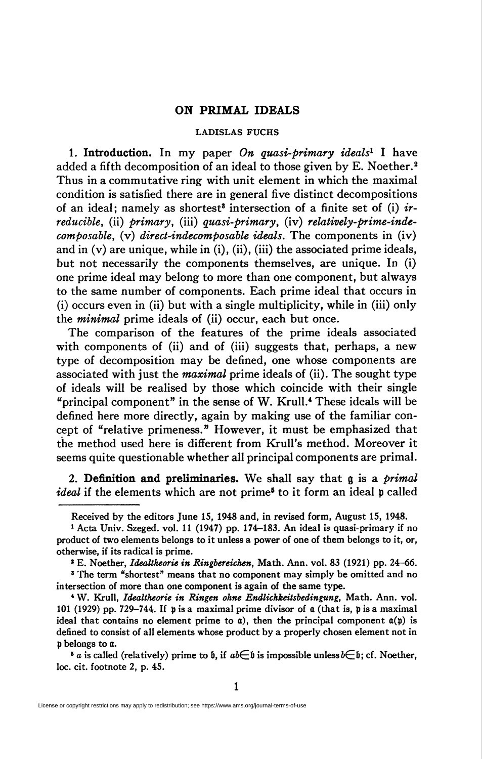## ON PRIMAL IDEALS

#### LADISLAS FUCHS

1. Introduction. In my paper On quasi-primary ideals<sup>1</sup> I have added a fifth decomposition of an ideal to those given by E. Noether.<sup>2</sup> Thus in a commutative ring with unit element in which the maximal condition is satisfied there are in general five distinct decompositions of an ideal; namely as shortest<sup>3</sup> intersection of a finite set of (i)  $ir$ reducible, (ii) primary, (iii) quasi-primary, (iv) relatively-prime-indecomposable, (v) direct-indecomposable ideals. The components in (iv) and in (v) are unique, while in (i), (ii), (iii) the associated prime ideals, but not necessarily the components themselves, are unique. In (i) one prime ideal may belong to more than one component, but always to the same number of components. Each prime ideal that occurs in (i) occurs even in (ii) but with a single multiplicity, while in (iii) only the minimal prime ideals of (ii) occur, each but once.

The comparison of the features of the prime ideals associated with components of (ii) and of (iii) suggests that, perhaps, a new type of decomposition may be defined, one whose components are associated with just the *maximal* prime ideals of (ii). The sought type of ideals will be realised by those which coincide with their single "principal component" in the sense of W. Krull.4 These ideals will be defined here more directly, again by making use of the familiar concept of "relative primeness." However, it must be emphasized that the method used here is different from Krull's method. Moreover it seems quite questionable whether all principal components are primal.

2. Definition and preliminaries. We shall say that  $g$  is a *primal* ideal if the elements which are not prime<sup>6</sup> to it form an ideal p called

<sup>6</sup> a is called (relatively) prime to b, if  $ab \in \mathfrak{b}$  is impossible unless  $b \in \mathfrak{b}$ ; cf. Noether, loc. cit. footnote 2, p. 45.

Received by the editors June IS, 1948 and, in revised form, August 15, 1948.

<sup>1</sup> Acta Univ. Szeged, vol. 11 (1947) pp. 174-183. An ideal is quasi-primary if no product of two elements belongs to it unless a power of one of them belongs to it, or, otherwise, if its radical is prime.

<sup>&</sup>lt;sup>2</sup> E. Noether, *Idealtheorie in Ringbereichen*, Math. Ann. vol. 83 (1921) pp. 24-66.

<sup>&</sup>lt;sup>3</sup> The term "shortest" means that no component may simply be omitted and no intersection of more than one component is again of the same type.

<sup>&</sup>lt;sup>4</sup> W. Krull, Idealtheorie in Ringen ohne Endlichkeitsbedingung, Math. Ann. vol. 101 (1929) pp. 729-744. If p is a maximal prime divisor of a (that is, p is a maximal ideal that contains no element prime to  $a$ ), then the principal component  $a(p)$  is defined to consist of all elements whose product by a properly chosen element not in p belongs to a.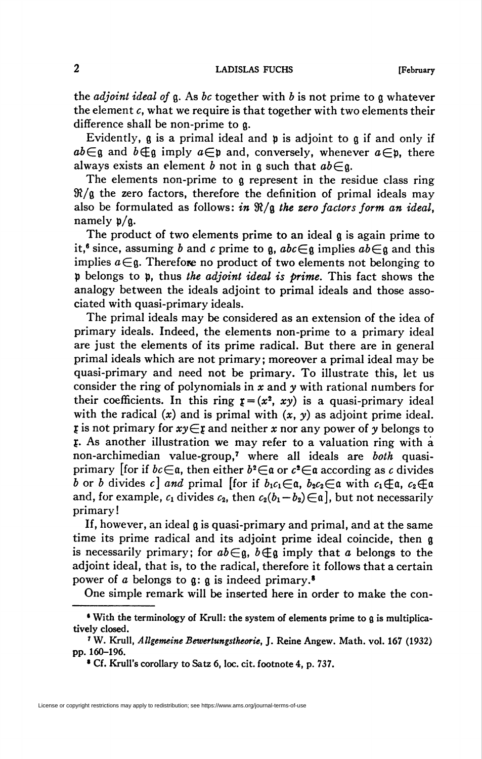the *adjoint ideal of*  $g$ . As *bc* together with *b* is not prime to  $g$  whatever the element  $c$ , what we require is that together with two elements their difference shall be non-prime to g.

Evidently,  $\alpha$  is a primal ideal and  $\alpha$  is adjoint to  $\alpha$  if and only if  $ab \in \mathfrak{g}$  and  $b \notin \mathfrak{g}$  imply  $a \in \mathfrak{p}$  and, conversely, whenever  $a \in \mathfrak{p}$ , there always exists an element b not in a such that  $ab \in \mathfrak{a}$ .

The elements non-prime to a represent in the residue class ring  $\mathcal{R}/\mathfrak{g}$  the zero factors, therefore the definition of primal ideals may also be formulated as follows: in  $\Re/\Re$  the zero factors form an ideal, namely p/g.

The product of two elements prime to an ideal g is again prime to it,<sup>6</sup> since, assuming b and c prime to g,  $abc \in \mathfrak{g}$  implies  $ab \in \mathfrak{g}$  and this implies  $a \in \mathfrak{g}$ . Therefore no product of two elements not belonging to p belongs to p, thus the adjoint ideal is prime. This fact shows the analogy between the ideals adjoint to primal ideals and those associated with quasi-primary ideals.

The primal ideals may be considered as an extension of the idea of primary ideals. Indeed, the elements non-prime to a primary ideal are just the elements of its prime radical. But there are in general primal ideals which are not primary; moreover a primal ideal may be quasi-primary and need not be primary. To illustrate this, let us consider the ring of polynomials in  $x$  and  $y$  with rational numbers for their coefficients. In this ring  $\mathbf{r} = (x^2, xy)$  is a quasi-primary ideal with the radical  $(x)$  and is primal with  $(x, y)$  as adjoint prime ideal.  $\mathfrak x$  is not primary for  $\mathfrak x\mathfrak y \in \mathfrak x$  and neither  $\mathfrak x$  nor any power of  $\mathfrak y$  belongs to f. As another illustration we may refer to a valuation ring with a non-archimedian value-group,<sup>7</sup> where all ideals are both quasiprimary [for if  $bc \in \mathfrak{a}$ , then either  $b^2 \in \mathfrak{a}$  or  $c^2 \in \mathfrak{a}$  according as c divides b or b divides c] and primal [for if  $b_1c_1\in\mathfrak{a}$ ,  $b_2c_2\in\mathfrak{a}$  with  $c_1\oplus\mathfrak{a}$ ,  $c_2\oplus\mathfrak{a}$ and, for example,  $c_1$  divides  $c_2$ , then  $c_2(b_1 - b_2) \in \mathfrak{a}$ , but not necessarily primary!

If, however, an ideal g is quasi-primary and primal, and at the same time its prime radical and its adjoint prime ideal coincide, then g is necessarily primary; for  $ab \in \mathfrak{g}$ ,  $b \notin \mathfrak{g}$  imply that a belongs to the adjoint ideal, that is, to the radical, therefore it follows that a certain power of a belongs to  $\alpha$ :  $\alpha$  is indeed primary.<sup>8</sup>

One simple remark will be inserted here in order to make the con-

<sup>&</sup>lt;sup>6</sup> With the terminology of Krull: the system of elements prime to g is multiplicatively closed.

<sup>&#</sup>x27; W. Krull, Allgemeine Bewertungstheorie, J. Reine Angew. Math. vol. 167 (1932) pp. 160-196.

<sup>&</sup>lt;sup>\*</sup> Cf. Krull's corollary to Satz 6, loc. cit. footnote 4, p. 737.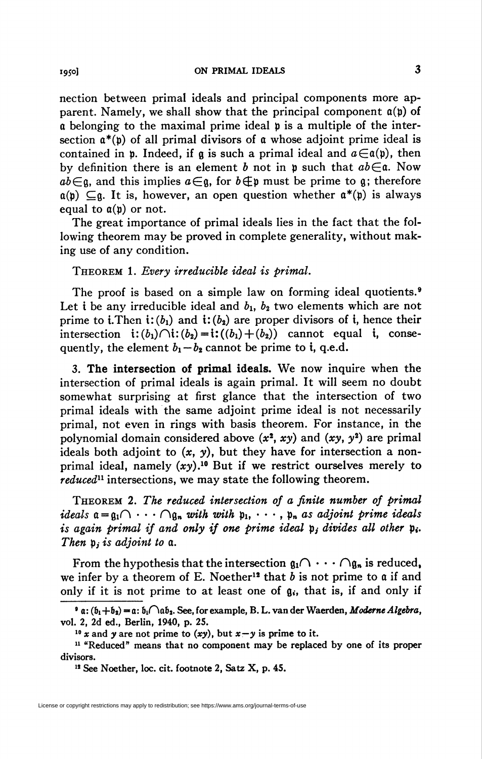nection between primal ideals and principal components more apparent. Namely, we shall show that the principal component  $a(p)$  of a belonging to the maximal prime ideal p is a multiple of the intersection  $\mathfrak{a}^*(\mathfrak{b})$  of all primal divisors of  $\mathfrak a$  whose adjoint prime ideal is contained in p. Indeed, if g is such a primal ideal and  $a \in \mathfrak{a}(\mathfrak{p})$ , then by definition there is an element b not in p such that  $ab \in \mathfrak{a}$ . Now  $ab\in\mathfrak{g}$ , and this implies  $a\in\mathfrak{g}$ , for  $b\notin\mathfrak{p}$  must be prime to g; therefore  $a(b) \subseteq a$ . It is, however, an open question whether  $a^*(b)$  is always equal to  $a(p)$  or not.

The great importance of primal ideals lies in the fact that the following theorem may be proved in complete generality, without making use of any condition.

### Theorem 1. Every irreducible ideal is primal.

The proof is based on a simple law on forming ideal quotients.<sup>9</sup> Let i be any irreducible ideal and  $b_1$ ,  $b_2$  two elements which are not prime to i. Then i:  $(b_1)$  and i:  $(b_2)$  are proper divisors of i, hence their intersection  $\mathbf{i}: (b_1)\cap \mathbf{i}: (b_2) = \mathbf{i}:((b_1) + (b_2))$  cannot equal  $\mathbf{i}$ , consequently, the element  $b_1 - b_2$  cannot be prime to i, q.e.d.

3. The intersection of primal ideals. We now inquire when the intersection of primal ideals is again primal. It will seem no doubt somewhat surprising at first glance that the intersection of two primal ideals with the same adjoint prime ideal is not necessarily primal, not even in rings with basis theorem. For instance, in the polynomial domain considered above  $(x^2, xy)$  and  $(xy, y^2)$  are primal ideals both adjoint to  $(x, y)$ , but they have for intersection a nonprimal ideal, namely  $(xy)$ .<sup>10</sup> But if we restrict ourselves merely to reduced<sup>11</sup> intersections, we may state the following theorem.

Theorem 2. The reduced intersection of a finite number of primal ideals  $a = a_1 \cap \cdots \cap a_n$  with with  $p_1, \cdots, p_n$  as adjoint prime ideals is again primal if and only if one prime ideal  $p_i$ , divides all other  $p_i$ . Then  $p_i$  is adjoint to  $a$ .

From the hypothesis that the intersection  $\mathfrak{g}_1 \cap \cdots \cap \mathfrak{g}_n$  is reduced, we infer by a theorem of E. Noether<sup>12</sup> that  $b$  is not prime to  $a$  if and only if it is not prime to at least one of  $g_i$ , that is, if and only if

 $\bullet$  a:  $(b_1+b_2) = a$ :  $b_1 \bigcap ab_2$ . See, for example, B. L. van der Waerden, *Moderne Algebra*, vol. 2, 2d ed., Berlin, 1940, p. 25.

<sup>&</sup>lt;sup>10</sup> x and y are not prime to (xy), but  $x-y$  is prime to it.

<sup>&</sup>lt;sup>11</sup> "Reduced" means that no component may be replaced by one of its proper divisors.

<sup>&</sup>lt;sup>12</sup> See Noether, loc. cit. footnote 2, Satz X, p. 45.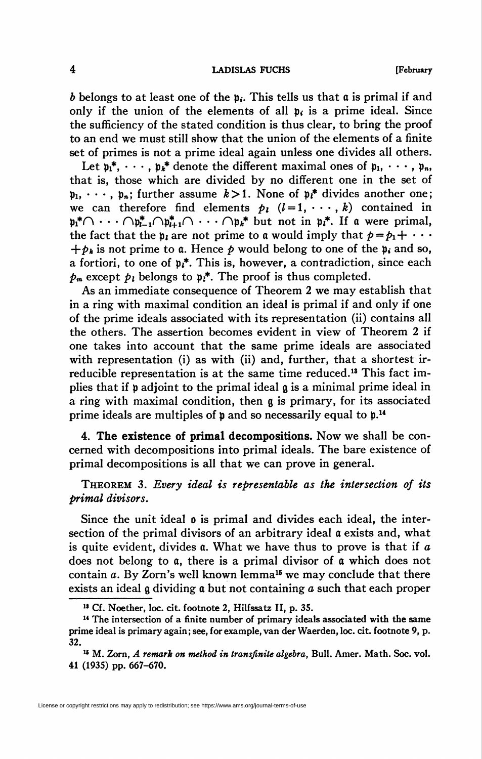#### 4 **LADISLAS FUCHS** [February

b belongs to at least one of the  $p_i$ . This tells us that  $\alpha$  is primal if and only if the union of the elements of all  $\mathfrak{p}_i$  is a prime ideal. Since the sufficiency of the stated condition is thus clear, to bring the proof to an end we must still show that the union of the elements of a finite set of primes is not a prime ideal again unless one divides all others.

Let  $\mathfrak{p}_1^*, \cdots, \mathfrak{p}_k^*$  denote the different maximal ones of  $\mathfrak{p}_1, \cdots, \mathfrak{p}_n$ , that is, those which are divided by no different one in the set of  $p_1, \dots, p_n$ : further assume  $k > 1$ . None of  $p^*$  divides another one; we can therefore find elements  $p_i$   $(l = 1, \dots, k)$  contained in  $\mathfrak{p}_1^*\cap\cdots\cap\mathfrak{p}_{i-1}^*\cap\mathfrak{p}_{i+1}^*\cap\cdots\cap\mathfrak{p}_k^*$  but not in  $\mathfrak{p}_i^*$ . If a were primal, the fact that the  $p_i$  are not prime to a would imply that  $p = p_1 + \cdots$  $+\phi_k$  is not prime to a. Hence p would belong to one of the p<sub>i</sub> and so, a fortiori, to one of  $\mathfrak{p}_i^*$ . This is, however, a contradiction, since each  $p_m$  except  $p_l$  belongs to  $p_i^*$ . The proof is thus completed.

As an immediate consequence of Theorem 2 we may establish that in a ring with maximal condition an ideal is primal if and only if one of the prime ideals associated with its representation (ii) contains all the others. The assertion becomes evident in view of Theorem 2 if one takes into account that the same prime ideals are associated with representation (i) as with (ii) and, further, that a shortest irreducible representation is at the same time reduced.13 This fact implies that if p adjoint to the primal ideal g is a minimal prime ideal in a ring with maximal condition, then g is primary, for its associated prime ideals are multiples of **p** and so necessarily equal to **p**.<sup>14</sup>

4. The existence of primal decompositions. Now we shall be concerned with decompositions into primal ideals. The bare existence of primal decompositions is all that we can prove in general.

# THEOREM 3. Every ideal is representable as the intersection of its primal divisors.

Since the unit ideal o is primal and divides each ideal, the intersection of the primal divisors of an arbitrary ideal a exists and, what is quite evident, divides  $\alpha$ . What we have thus to prove is that if  $\alpha$ does not belong to a, there is a primal divisor of a which does not contain  $a$ . By Zorn's well known lemma<sup>15</sup> we may conclude that there exists an ideal g dividing a but not containing a such that each proper

<sup>&</sup>lt;sup>13</sup> Cf. Noether, loc. cit. footnote 2, Hilfssatz II, p. 35.

<sup>14</sup> The intersection of a finite number of primary ideals associated with the same prime ideal is primary again; see, for example, van der Waerden, loc. cit. footnote 9, p. 32.

 $^{15}$  M. Zorn, A remark on method in transfinite algebra, Bull. Amer. Math. Soc. vol. 41 (1935) pp. 667-670.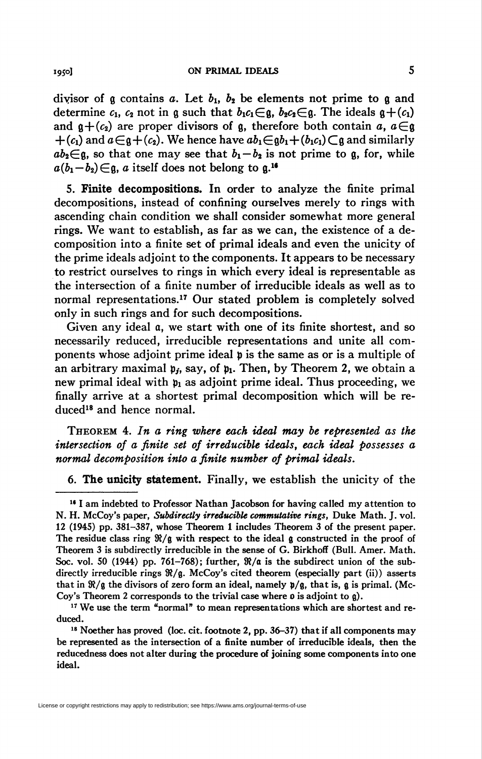divisor of  $\frak g$  contains  $a$ . Let  $b_1$ ,  $b_2$  be elements not prime to  $\frak g$  and determine  $c_1$ ,  $c_2$  not in g such that  $b_1c_1\epsilon\mathfrak{g}$ ,  $b_2c_2\epsilon\mathfrak{g}$ . The ideals  $\mathfrak{g}+(c_1)$ and  $g+(c_2)$  are proper divisors of g, therefore both contain a,  $a \in \mathfrak{g}$  $+(c_1)$  and  $a\in\mathfrak{g}+(c_2)$ . We hence have  $ab_1\in\mathfrak{g}b_1+(b_1c_1)\subset\mathfrak{g}$  and similarly  $ab_2\in\mathfrak{a}$ , so that one may see that  $b_1-b_2$  is not prime to g, for, while  $a(b_1-b_2) \in \mathfrak{g}$ , a itself does not belong to  $\mathfrak{g}$ .<sup>16</sup>

5. Finite decompositions. In order to analyze the finite primal decompositions, instead of confining ourselves merely to rings with ascending chain condition we shall consider somewhat more general rings. We want to establish, as far as we can, the existence of a decomposition into a finite set of primal ideals and even the unicity of the prime ideals adjoint to the components. It appears to be necessary to restrict ourselves to rings in which every ideal is representable as the intersection of a finite number of irreducible ideals as well as to normal representations.<sup>17</sup> Our stated problem is completely solved only in such rings and for such decompositions.

Given any ideal  $a$ , we start with one of its finite shortest, and so necessarily reduced, irreducible representations and unite all components whose adjoint prime ideal p is the same as or is a multiple of an arbitrary maximal  $\mathfrak{p}_i$ , say, of  $\mathfrak{p}_i$ . Then, by Theorem 2, we obtain a new primal ideal with  $p_1$  as adjoint prime ideal. Thus proceeding, we finally arrive at a shortest primal decomposition which will be reduced18 and hence normal.

Theorem 4. In a ring where each ideal may be represented as the intersection of a finite set of irreducible ideals, each ideal possesses a normal decomposition into a finite number of primal ideals.

6. The unicity statement. Finally, we establish the unicity of the

<sup>&</sup>lt;sup>16</sup> I am indebted to Professor Nathan Jacobson for having called my attention to N. H. McCoy's paper, Subdirectly irreducible commutative rings, Duke Math. J. vol. 12 (1945) pp. 381-387, whose Theorem 1 includes Theorem 3 of the present paper. The residue class ring  $\mathcal{R}/\mathfrak{g}$  with respect to the ideal  $\mathfrak{g}$  constructed in the proof of Theorem 3 is subdirectly irreducible in the sense of G. Birkhoff (Bull. Amer. Math. Soc. vol. 50 (1944) pp. 761–768); further,  $\Re/\alpha$  is the subdirect union of the subdirectly irreducible rings  $\Re$ /g. McCoy's cited theorem (especially part (ii)) asserts that in  $\mathcal{R}/\mathfrak{g}$  the divisors of zero form an ideal, namely  $\mathfrak{p}/\mathfrak{g}$ , that is,  $\mathfrak{g}$  is primal. (Mc-Coy's Theorem 2 corresponds to the trivial case where  $\rho$  is adjoint to  $\rho$ ).

 $17$  We use the term "normal" to mean representations which are shortest and reduced.

<sup>&</sup>lt;sup>18</sup> Noether has proved (loc. cit. footnote 2, pp. 36-37) that if all components may be represented as the intersection of a finite number of irreducible ideals, then the reducedness does not alter during the procedure of joining some components into one ideal.